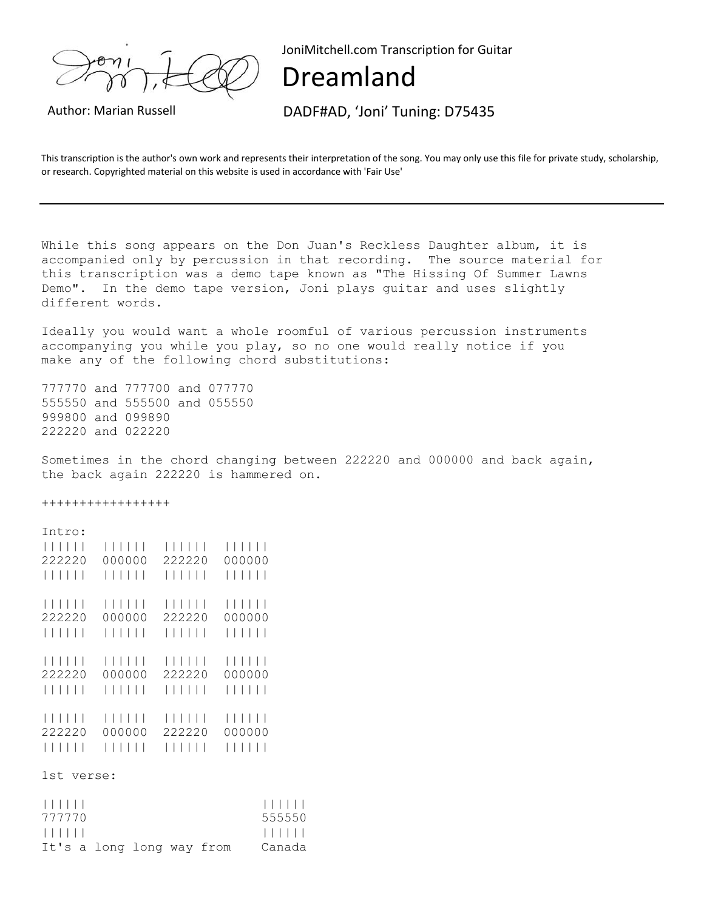

JoniMitchell.com Transcription for Guitar

## Dreamland

Author: Marian Russell **DADF#AD, 'Joni' Tuning: D75435** 

This transcription is the author's own work and represents their interpretation of the song. You may only use this file for private study, scholarship, or research. Copyrighted material on this website is used in accordance with 'Fair Use'

While this song appears on the Don Juan's Reckless Daughter album, it is accompanied only by percussion in that recording. The source material for this transcription was a demo tape known as "The Hissing Of Summer Lawns Demo". In the demo tape version, Joni plays guitar and uses slightly different words.

Ideally you would want a whole roomful of various percussion instruments accompanying you while you play, so no one would really notice if you make any of the following chord substitutions:

777770 and 777700 and 077770 555550 and 555500 and 055550 999800 and 099890 222220 and 022220

Sometimes in the chord changing between 222220 and 000000 and back again, the back again 222220 is hammered on.

+++++++++++++++++

| Intro:<br>222220<br>I | I<br>000000                 | 222220      | 000000      |
|-----------------------|-----------------------------|-------------|-------------|
| 222220                | I<br>000000<br>ı            | 222220<br>I | 000000      |
| 222220                | $\mathsf{L}$<br>I<br>000000 | I<br>222220 | I<br>000000 |
| 222220                | 000000                      | 222220      | 00000<br>Ω  |
|                       |                             |             |             |

1st verse:

| 777770                    |  |  | 555550 |
|---------------------------|--|--|--------|
| 111111                    |  |  | 111111 |
| It's a long long way from |  |  | Canada |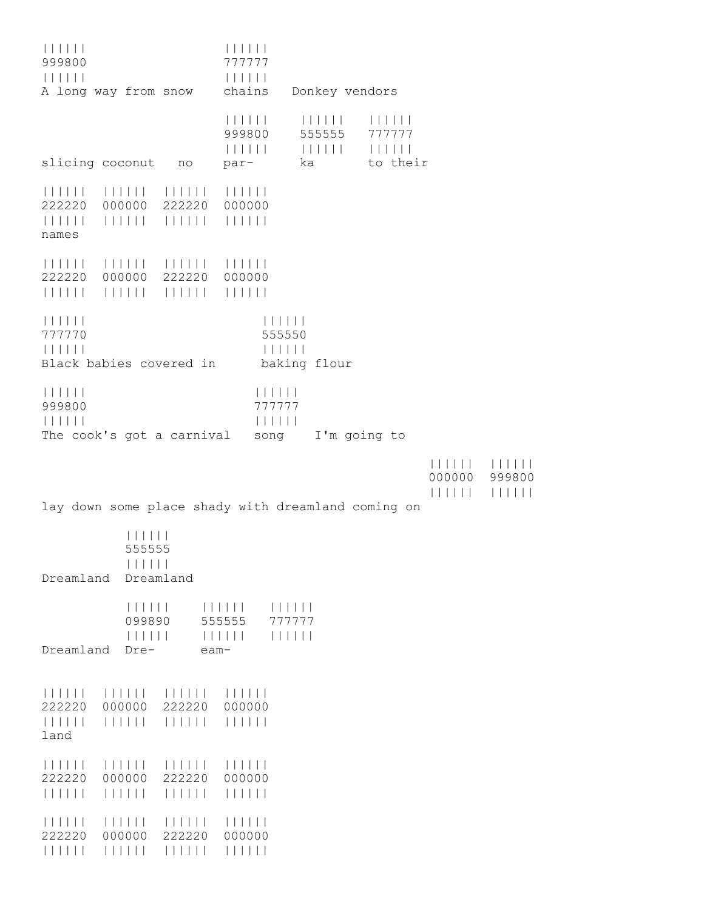| <br>999800<br>111111<br>A long way from snow                                                                                                                                                                                                                                                                                                                                                                                                                                                                                                                                                                                                                                                                                                                                                                                                                                                                                                                                                                                                                                                                                                                                                                                                                                                                                                                                                                                                                                                                                                                                                                                                                                                                                                                                                                                                     | <br>777777<br>                      <br>chains | Donkey vendors                                                                                                                                                  |                        |        |            |
|--------------------------------------------------------------------------------------------------------------------------------------------------------------------------------------------------------------------------------------------------------------------------------------------------------------------------------------------------------------------------------------------------------------------------------------------------------------------------------------------------------------------------------------------------------------------------------------------------------------------------------------------------------------------------------------------------------------------------------------------------------------------------------------------------------------------------------------------------------------------------------------------------------------------------------------------------------------------------------------------------------------------------------------------------------------------------------------------------------------------------------------------------------------------------------------------------------------------------------------------------------------------------------------------------------------------------------------------------------------------------------------------------------------------------------------------------------------------------------------------------------------------------------------------------------------------------------------------------------------------------------------------------------------------------------------------------------------------------------------------------------------------------------------------------------------------------------------------------|------------------------------------------------|-----------------------------------------------------------------------------------------------------------------------------------------------------------------|------------------------|--------|------------|
| slicing coconut<br>no                                                                                                                                                                                                                                                                                                                                                                                                                                                                                                                                                                                                                                                                                                                                                                                                                                                                                                                                                                                                                                                                                                                                                                                                                                                                                                                                                                                                                                                                                                                                                                                                                                                                                                                                                                                                                            | <br>999800<br>                      <br>par-   | $\begin{array}{c c c c c c} \hline & & & & & & \\ \hline & & & & & & & \\ \hline & & & & & & & \\ \hline & & & & & & & & \\ \hline \end{array}$<br>555555<br>ka | <br>777777<br>to their |        |            |
| $\begin{tabular}{c} \multicolumn{1}{c} {\textbf{1}} & \multicolumn{1}{c} {\textbf{1}} & \multicolumn{1}{c} {\textbf{1}} & \multicolumn{1}{c} {\textbf{1}} & \multicolumn{1}{c} {\textbf{1}} & \multicolumn{1}{c} {\textbf{1}} & \multicolumn{1}{c} {\textbf{1}} & \multicolumn{1}{c} {\textbf{1}} & \multicolumn{1}{c} {\textbf{1}} & \multicolumn{1}{c} {\textbf{1}} & \multicolumn{1}{c} {\textbf{1}} & \multicolumn{1}{c} {\textbf{1}} & \multicolumn{1}{c} {\textbf{1}} & \multicolumn$<br>111111<br>222220 000000<br>222220 000000<br>111111<br>$\begin{array}{c c c c c c} \hline \text{ } & & & & & & \\ \hline \text{ } & & & & & & \\ \hline \end{array} \qquad \begin{array}{c c c c} \hline \text{ } & & & & & \\ \hline \text{ } & & & & & \\ \hline \text{ } & & & & & \\ \hline \text{ } & & & & & \\ \hline \text{ } & & & & & \\ \hline \text{ } & & & & & \\ \hline \text{ } & & & & & \\ \hline \text{ } & & & & & \\ \hline \text{ } & & & & & \\ \hline \text{ } & & & & & \\ \hline \text{ } & & & & & \\ \hline \text{ } &$<br>$\begin{tabular}{c} \hline \textbf{1} & \textbf{1} & \textbf{1} & \textbf{1} & \textbf{1} & \textbf{1} & \textbf{1} & \textbf{1} & \textbf{1} & \textbf{1} & \textbf{1} & \textbf{1} & \textbf{1} & \textbf{1} & \textbf{1} & \textbf{1} & \textbf{1} & \textbf{1} & \textbf{1} & \textbf{1} & \textbf{1} & \textbf{1} & \textbf{1} & \textbf{1} & \textbf{1} & \textbf{1} & \textbf{1} & \textbf{1} & \textbf{1} & \textbf{1}$<br>names                                                                                                                                                                                                                                                                                                                                                    |                                                |                                                                                                                                                                 |                        |        |            |
| $\begin{array}{c c c c c c} \hline \textbf{1} & \textbf{1} & \textbf{1} & \textbf{1} & \textbf{1} & \textbf{1} & \textbf{1} & \textbf{1} & \textbf{1} & \textbf{1} & \textbf{1} & \textbf{1} & \textbf{1} & \textbf{1} & \textbf{1} & \textbf{1} & \textbf{1} & \textbf{1} & \textbf{1} & \textbf{1} & \textbf{1} & \textbf{1} & \textbf{1} & \textbf{1} & \textbf{1} & \textbf{1} & \textbf{1} & \textbf{1} & \textbf{$<br>$\begin{tabular}{c} \multicolumn{1}{c} {\textbf{1}} & \multicolumn{1}{c} {\textbf{1}} & \multicolumn{1}{c} {\textbf{1}} & \multicolumn{1}{c} {\textbf{1}} & \multicolumn{1}{c} {\textbf{1}} & \multicolumn{1}{c} {\textbf{1}} & \multicolumn{1}{c} {\textbf{1}} & \multicolumn{1}{c} {\textbf{1}} & \multicolumn{1}{c} {\textbf{1}} & \multicolumn{1}{c} {\textbf{1}} & \multicolumn{1}{c} {\textbf{1}} & \multicolumn{1}{c} {\textbf{1}} & \multicolumn{1}{c} {\textbf{1}} & \multicolumn$<br>                      <br>222220 000000<br>222220 000000<br>$\begin{tabular}{c} \bf -1 & 1 & 1 & 1 & 1 \\ \bf -1 & 1 & 1 & 1 & 1 \\ \bf -1 & 1 & 1 & 1 & 1 \\ \bf -1 & 1 & 1 & 1 & 1 \\ \bf -1 & 1 & 1 & 1 & 1 \\ \bf -1 & 1 & 1 & 1 & 1 \\ \bf -1 & 1 & 1 & 1 & 1 \\ \bf -1 & 1 & 1 & 1 & 1 \\ \bf -1 & 1 & 1 & 1 & 1 \\ \bf -1 & 1 & 1 & 1 & 1 \\ \bf -1 & 1 & 1 & 1 & 1 \\ \bf -1 & 1 & 1 & 1 & 1 \\ \bf -1 & 1 &$<br>$\begin{array}{c c c c c c} \hline \text{ } & & & & & & \\ \hline \text{ } & & & & & & \\ \hline \end{array} \qquad \begin{array}{c c c c} \hline \text{ } & & & & & \\ \hline \text{ } & & & & & \\ \hline \text{ } & & & & & \\ \hline \text{ } & & & & & \\ \hline \text{ } & & & & & \\ \hline \text{ } & & & & & \\ \hline \text{ } & & & & & \\ \hline \text{ } & & & & & \\ \hline \text{ } & & & & & \\ \hline \text{ } & & & & & \\ \hline \text{ } & & & & & \\ \hline \text{ } &$ | 111111                                         |                                                                                                                                                                 |                        |        |            |
| <br>777770<br>111111<br>Black babies covered in                                                                                                                                                                                                                                                                                                                                                                                                                                                                                                                                                                                                                                                                                                                                                                                                                                                                                                                                                                                                                                                                                                                                                                                                                                                                                                                                                                                                                                                                                                                                                                                                                                                                                                                                                                                                  | <br>555550<br>111111                           | baking flour                                                                                                                                                    |                        |        |            |
| 111111<br>999800<br>111111<br>The cook's got a carnival                                                                                                                                                                                                                                                                                                                                                                                                                                                                                                                                                                                                                                                                                                                                                                                                                                                                                                                                                                                                                                                                                                                                                                                                                                                                                                                                                                                                                                                                                                                                                                                                                                                                                                                                                                                          | <br>777777<br>                   <br>song      | I'm going to                                                                                                                                                    |                        |        |            |
| lay down some place shady with dreamland coming on                                                                                                                                                                                                                                                                                                                                                                                                                                                                                                                                                                                                                                                                                                                                                                                                                                                                                                                                                                                                                                                                                                                                                                                                                                                                                                                                                                                                                                                                                                                                                                                                                                                                                                                                                                                               |                                                |                                                                                                                                                                 |                        | 000000 | 999800<br> |
| 555555<br>                   <br>Dreamland<br>Dreamland<br>                                                                                                                                                                                                                                                                                                                                                                                                                                                                                                                                                                                                                                                                                                                                                                                                                                                                                                                                                                                                                                                                                                                                                                                                                                                                                                                                                                                                                                                                                                                                                                                                                                                                                                                                                                                      | 111111                                         | 111111                                                                                                                                                          |                        |        |            |
| 099890<br>111111<br>Dre-<br>Dreamland<br>eam-                                                                                                                                                                                                                                                                                                                                                                                                                                                                                                                                                                                                                                                                                                                                                                                                                                                                                                                                                                                                                                                                                                                                                                                                                                                                                                                                                                                                                                                                                                                                                                                                                                                                                                                                                                                                    | 555555<br>111111                               | 777777<br>                                                                                                                                                      |                        |        |            |
| <br>$\begin{array}{c c c c c c} \hline & & & & & & & \\ \hline & & & & & & & \\ \hline & & & & & & & & \\ \hline & & & & & & & & & \\ \hline \end{array}$<br>222220<br>000000<br>222220<br>111111<br>                      <br>111111<br>land                                                                                                                                                                                                                                                                                                                                                                                                                                                                                                                                                                                                                                                                                                                                                                                                                                                                                                                                                                                                                                                                                                                                                                                                                                                                                                                                                                                                                                                                                                                                                                                                    | 111111<br>000000<br>                           |                                                                                                                                                                 |                        |        |            |
| 111111<br>222220<br>222220<br>000000<br>111111<br>                                                                                                                                                                                                                                                                                                                                                                                                                                                                                                                                                                                                                                                                                                                                                                                                                                                                                                                                                                                                                                                                                                                                                                                                                                                                                                                                                                                                                                                                                                                                                                                                                                                                                                                                                                                               | 000000<br>                                     |                                                                                                                                                                 |                        |        |            |
| <br>$\begin{tabular}{c} \hline \multicolumn{1}{c} {\textbf{1}} & \multicolumn{1}{c} {\textbf{1}} & \multicolumn{1}{c} {\textbf{1}} & \multicolumn{1}{c} {\textbf{1}} \\ \hline \end{tabular}$<br>111111<br>222220<br>222220<br>000000<br>111111<br>                                                                                                                                                                                                                                                                                                                                                                                                                                                                                                                                                                                                                                                                                                                                                                                                                                                                                                                                                                                                                                                                                                                                                                                                                                                                                                                                                                                                                                                                                                                                                                                              | <br>000000<br>111111                           |                                                                                                                                                                 |                        |        |            |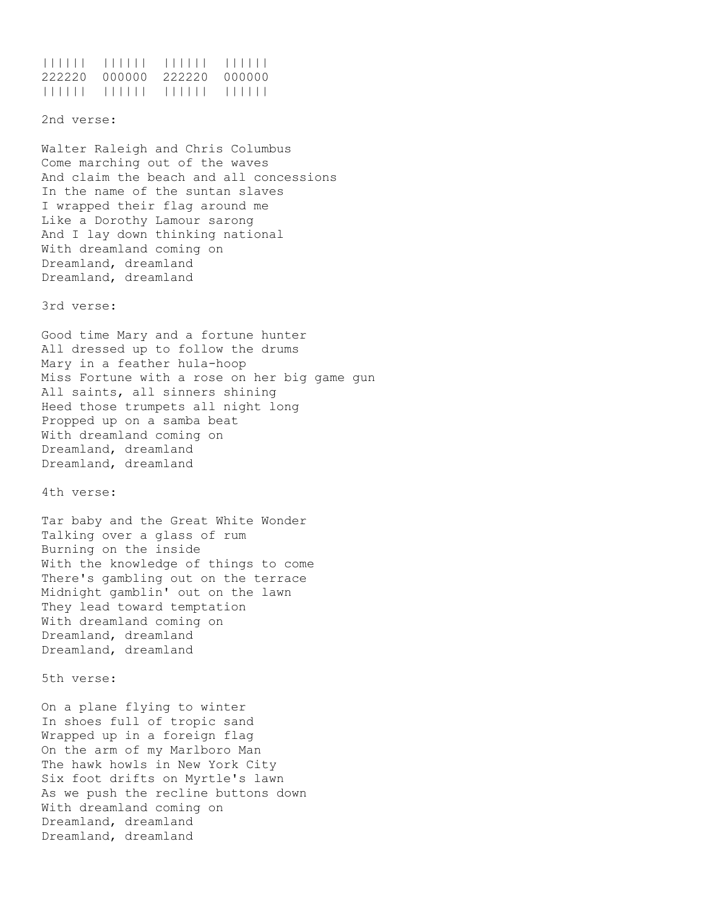|||||| |||||| |||||| |||||| 222220 000000 222220 000000 |||||| |||||| |||||| ||||||

2nd verse:

Walter Raleigh and Chris Columbus Come marching out of the waves And claim the beach and all concessions In the name of the suntan slaves I wrapped their flag around me Like a Dorothy Lamour sarong And I lay down thinking national With dreamland coming on Dreamland, dreamland Dreamland, dreamland

3rd verse:

Good time Mary and a fortune hunter All dressed up to follow the drums Mary in a feather hula-hoop Miss Fortune with a rose on her big game gun All saints, all sinners shining Heed those trumpets all night long Propped up on a samba beat With dreamland coming on Dreamland, dreamland Dreamland, dreamland

4th verse:

Tar baby and the Great White Wonder Talking over a glass of rum Burning on the inside With the knowledge of things to come There's gambling out on the terrace Midnight gamblin' out on the lawn They lead toward temptation With dreamland coming on Dreamland, dreamland Dreamland, dreamland

5th verse:

On a plane flying to winter In shoes full of tropic sand Wrapped up in a foreign flag On the arm of my Marlboro Man The hawk howls in New York City Six foot drifts on Myrtle's lawn As we push the recline buttons down With dreamland coming on Dreamland, dreamland Dreamland, dreamland